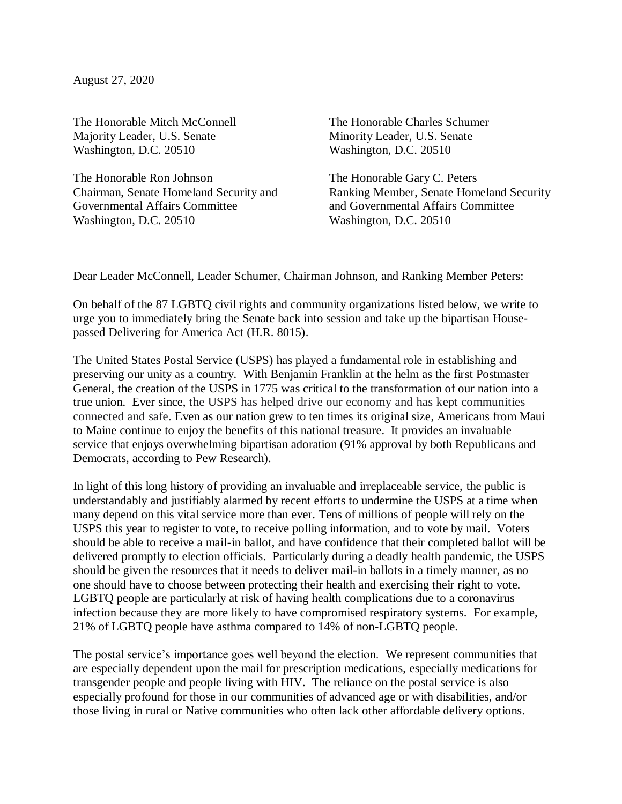August 27, 2020

The Honorable Mitch McConnell Majority Leader, U.S. Senate Washington, D.C. 20510

The Honorable Ron Johnson Chairman, Senate Homeland Security and Governmental Affairs Committee Washington, D.C. 20510

The Honorable Charles Schumer Minority Leader, U.S. Senate Washington, D.C. 20510

The Honorable Gary C. Peters Ranking Member, Senate Homeland Security and Governmental Affairs Committee Washington, D.C. 20510

Dear Leader McConnell, Leader Schumer, Chairman Johnson, and Ranking Member Peters:

On behalf of the 87 LGBTQ civil rights and community organizations listed below, we write to urge you to immediately bring the Senate back into session and take up the bipartisan Housepassed Delivering for America Act (H.R. 8015).

The United States Postal Service (USPS) has played a fundamental role in establishing and preserving our unity as a country. With Benjamin Franklin at the helm as the first Postmaster General, the creation of the USPS in 1775 was critical to the transformation of our nation into a true union. Ever since, the USPS has helped drive our economy and has kept communities connected and safe. Even as our nation grew to ten times its original size, Americans from Maui to Maine continue to enjoy the benefits of this national treasure. It provides an invaluable service that enjoys overwhelming bipartisan adoration (91% approval by both Republicans and Democrats, according to Pew Research).

In light of this long history of providing an invaluable and irreplaceable service, the public is understandably and justifiably alarmed by recent efforts to undermine the USPS at a time when many depend on this vital service more than ever. Tens of millions of people will rely on the USPS this year to register to vote, to receive polling information, and to vote by mail. Voters should be able to receive a mail-in ballot, and have confidence that their completed ballot will be delivered promptly to election officials. Particularly during a deadly health pandemic, the USPS should be given the resources that it needs to deliver mail-in ballots in a timely manner, as no one should have to choose between protecting their health and exercising their right to vote. LGBTQ people are particularly at risk of having health complications due to a coronavirus infection because they are more likely to have compromised respiratory systems. For example, 21% of LGBTQ people have asthma compared to 14% of non-LGBTQ people.

The postal service's importance goes well beyond the election. We represent communities that are especially dependent upon the mail for prescription medications, especially medications for transgender people and people living with HIV. The reliance on the postal service is also especially profound for those in our communities of advanced age or with disabilities, and/or those living in rural or Native communities who often lack other affordable delivery options.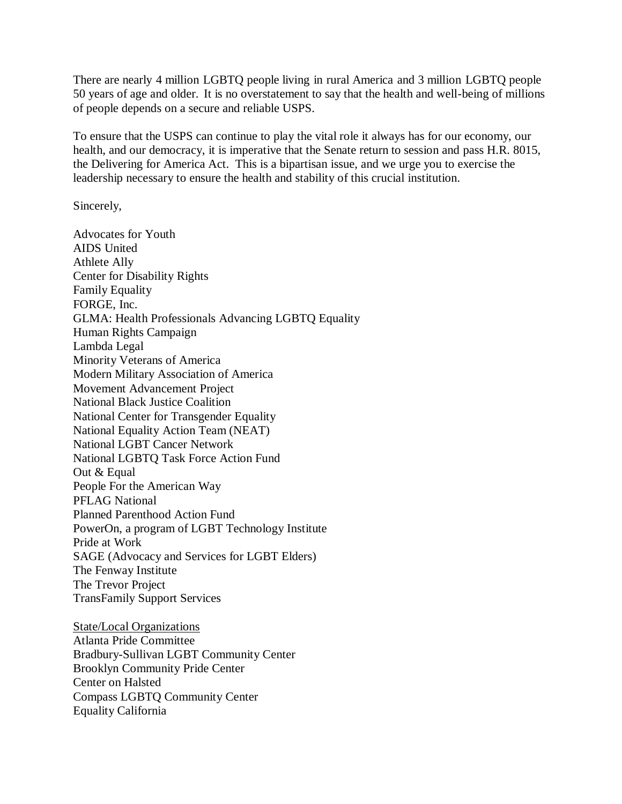There are nearly 4 million LGBTQ people living in rural America and 3 million LGBTQ people 50 years of age and older. It is no overstatement to say that the health and well-being of millions of people depends on a secure and reliable USPS.

To ensure that the USPS can continue to play the vital role it always has for our economy, our health, and our democracy, it is imperative that the Senate return to session and pass H.R. 8015, the Delivering for America Act. This is a bipartisan issue, and we urge you to exercise the leadership necessary to ensure the health and stability of this crucial institution.

Sincerely,

Advocates for Youth AIDS United Athlete Ally Center for Disability Rights Family Equality FORGE, Inc. GLMA: Health Professionals Advancing LGBTQ Equality Human Rights Campaign Lambda Legal Minority Veterans of America Modern Military Association of America Movement Advancement Project National Black Justice Coalition National Center for Transgender Equality National Equality Action Team (NEAT) National LGBT Cancer Network National LGBTQ Task Force Action Fund Out & Equal People For the American Way PFLAG National Planned Parenthood Action Fund PowerOn, a program of LGBT Technology Institute Pride at Work SAGE (Advocacy and Services for LGBT Elders) The Fenway Institute The Trevor Project TransFamily Support Services

State/Local Organizations Atlanta Pride Committee Bradbury-Sullivan LGBT Community Center Brooklyn Community Pride Center Center on Halsted Compass LGBTQ Community Center Equality California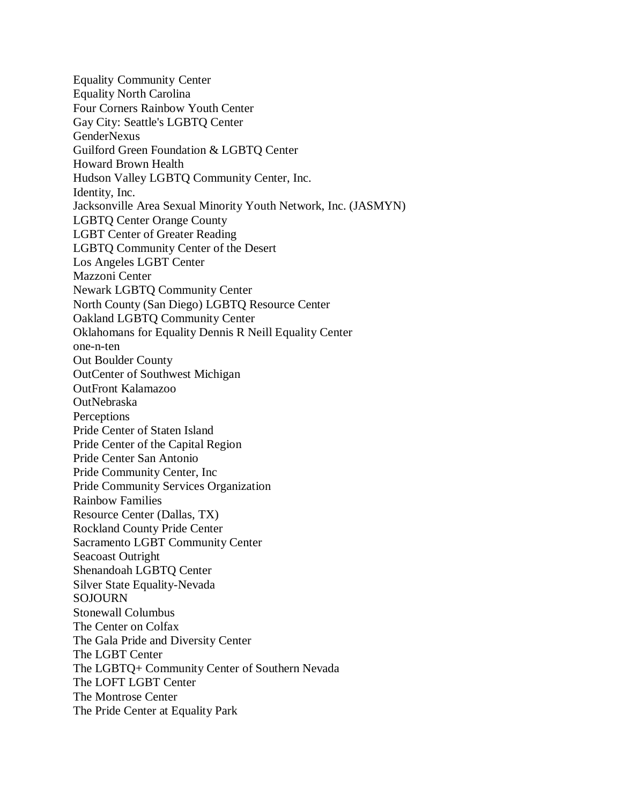Equality Community Center Equality North Carolina Four Corners Rainbow Youth Center Gay City: Seattle's LGBTQ Center GenderNexus Guilford Green Foundation & LGBTQ Center Howard Brown Health Hudson Valley LGBTQ Community Center, Inc. Identity, Inc. Jacksonville Area Sexual Minority Youth Network, Inc. (JASMYN) LGBTQ Center Orange County LGBT Center of Greater Reading LGBTQ Community Center of the Desert Los Angeles LGBT Center Mazzoni Center Newark LGBTQ Community Center North County (San Diego) LGBTQ Resource Center Oakland LGBTQ Community Center Oklahomans for Equality Dennis R Neill Equality Center one-n-ten Out Boulder County OutCenter of Southwest Michigan OutFront Kalamazoo OutNebraska **Perceptions** Pride Center of Staten Island Pride Center of the Capital Region Pride Center San Antonio Pride Community Center, Inc Pride Community Services Organization Rainbow Families Resource Center (Dallas, TX) Rockland County Pride Center Sacramento LGBT Community Center Seacoast Outright Shenandoah LGBTQ Center Silver State Equality-Nevada SOJOURN Stonewall Columbus The Center on Colfax The Gala Pride and Diversity Center The LGBT Center The LGBTQ+ Community Center of Southern Nevada The LOFT LGBT Center The Montrose Center The Pride Center at Equality Park